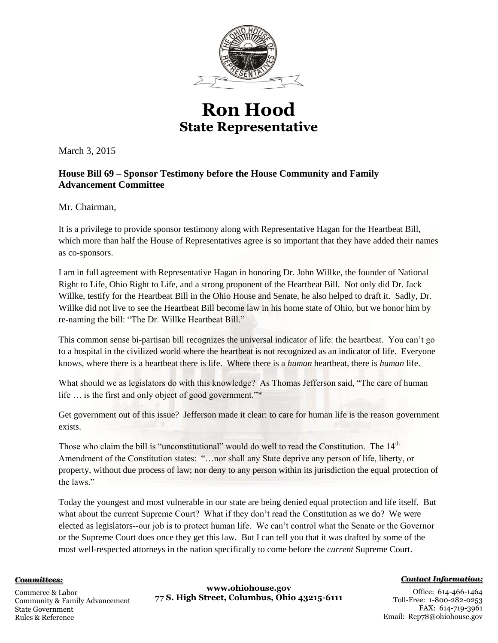

## **Ron Hood State Representative**

March 3, 2015

## **House Bill 69 – Sponsor Testimony before the House Community and Family Advancement Committee**

Mr. Chairman,

It is a privilege to provide sponsor testimony along with Representative Hagan for the Heartbeat Bill, which more than half the House of Representatives agree is so important that they have added their names as co-sponsors.

I am in full agreement with Representative Hagan in honoring Dr. John Willke, the founder of National Right to Life, Ohio Right to Life, and a strong proponent of the Heartbeat Bill. Not only did Dr. Jack Willke, testify for the Heartbeat Bill in the Ohio House and Senate, he also helped to draft it. Sadly, Dr. Willke did not live to see the Heartbeat Bill become law in his home state of Ohio, but we honor him by re-naming the bill: "The Dr. Willke Heartbeat Bill."

This common sense bi-partisan bill recognizes the universal indicator of life: the heartbeat. You can't go to a hospital in the civilized world where the heartbeat is not recognized as an indicator of life. Everyone knows, where there is a heartbeat there is life. Where there is a *human* heartbeat, there is *human* life.

What should we as legislators do with this knowledge? As Thomas Jefferson said, "The care of human life … is the first and only object of good government."\*

Get government out of this issue? Jefferson made it clear: to care for human life is the reason government exists.

Those who claim the bill is "unconstitutional" would do well to read the Constitution. The 14<sup>th</sup> Amendment of the Constitution states: "…nor shall any State deprive any person of life, liberty, or property, without due process of law; nor deny to any person within its jurisdiction the equal protection of the laws."

Today the youngest and most vulnerable in our state are being denied equal protection and life itself. But what about the current Supreme Court? What if they don't read the Constitution as we do? We were elected as legislators--our job is to protect human life. We can't control what the Senate or the Governor or the Supreme Court does once they get this law. But I can tell you that it was drafted by some of the most well-respected attorneys in the nation specifically to come before the *current* Supreme Court.

## *Committees:*

Commerce & Labor Community & Family Advancement State Government Rules & Reference

**www.ohiohouse.gov 77 S. High Street, Columbus, Ohio 43215-6111** *Contact Information:*

Office: 614-466-1464 Toll-Free: 1-800-282-0253 FAX: 614-719-3961 Email: Rep78@ohiohouse.gov